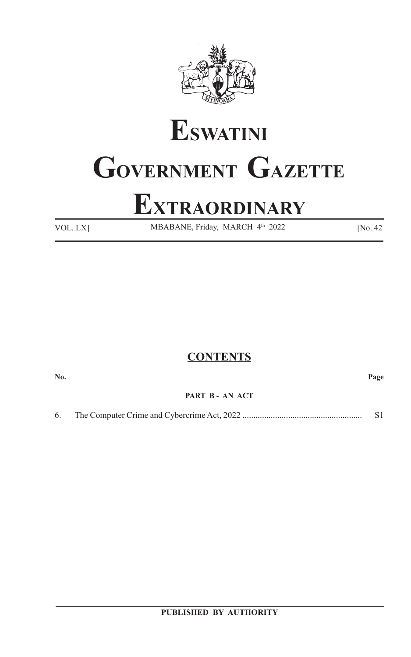

# **ESWATINI GOVERNMENT GAZETTE**

# **EXTRAORDINARY**

VOL. LX] MBABANE, Friday, MARCH 4<sup>th</sup> 2022 [No. 42]

# **CONTENTS**

**No. Page**

# **PART B - AN ACT**

# 6. The Computer Crime and Cybercrime Act, 2022 ....................................................... S1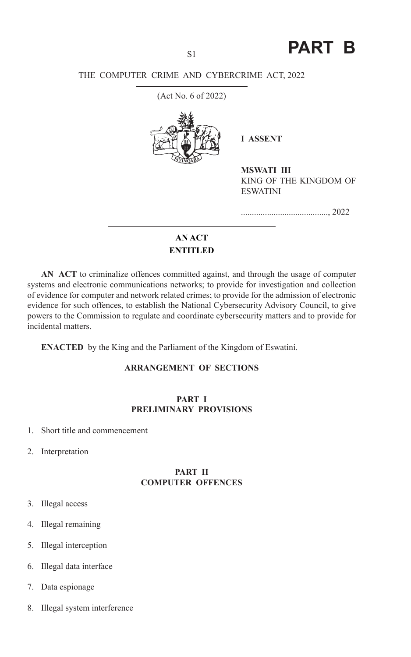S1 **PART B**

# THE COMPUTER CRIME AND CYBERCRIME ACT, 2022

(Act No. 6 of 2022)



**I ASSENT** 

**MSWATI III** KING OF THE KINGDOM OF ESWATINI

........................................, 2022

# **AN ACT ENTITLED**

**AN ACT** to criminalize offences committed against, and through the usage of computer systems and electronic communications networks; to provide for investigation and collection of evidence for computer and network related crimes; to provide for the admission of electronic evidence for such offences, to establish the National Cybersecurity Advisory Council, to give powers to the Commission to regulate and coordinate cybersecurity matters and to provide for incidental matters.

**ENACTED** by the King and the Parliament of the Kingdom of Eswatini.

# **ARRANGEMENT OF SECTIONS**

#### **PART I PRELIMINARY PROVISIONS**

- 1. Short title and commencement
- 2. Interpretation

#### **PART II COMPUTER OFFENCES**

- 3. Illegal access
- 4. Illegal remaining
- 5. Illegal interception
- 6. Illegal data interface
- 7. Data espionage
- 8. Illegal system interference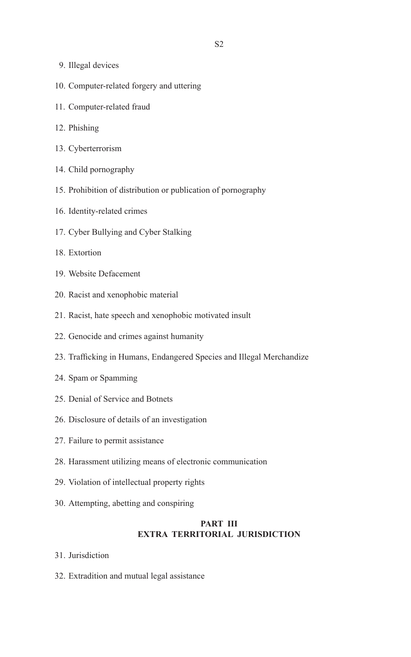- 9. Illegal devices
- 10. Computer-related forgery and uttering
- 11. Computer-related fraud
- 12. Phishing
- 13. Cyberterrorism
- 14. Child pornography
- 15. Prohibition of distribution or publication of pornography
- 16. Identity-related crimes
- 17. Cyber Bullying and Cyber Stalking
- 18. Extortion
- 19. Website Defacement
- 20. Racist and xenophobic material
- 21. Racist, hate speech and xenophobic motivated insult
- 22. Genocide and crimes against humanity
- 23. Trafficking in Humans, Endangered Species and Illegal Merchandize
- 24. Spam or Spamming
- 25. Denial of Service and Botnets
- 26. Disclosure of details of an investigation
- 27. Failure to permit assistance
- 28. Harassment utilizing means of electronic communication
- 29. Violation of intellectual property rights
- 30. Attempting, abetting and conspiring

# **PART III EXTRA TERRITORIAL JURISDICTION**

- 31. Jurisdiction
- 32. Extradition and mutual legal assistance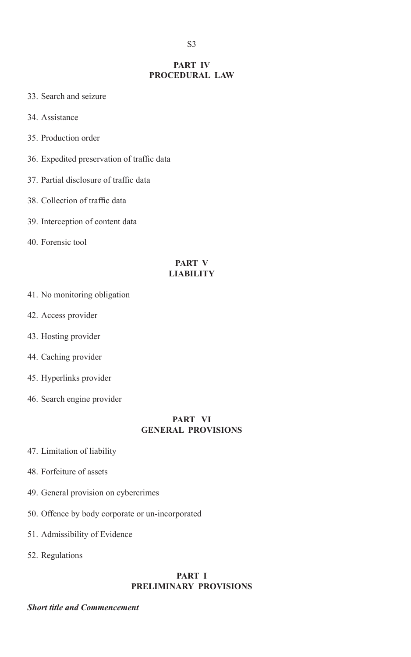#### **PART IV PROCEDURAL LAW**

- 33. Search and seizure
- 34. Assistance
- 35. Production order
- 36. Expedited preservation of traffic data
- 37. Partial disclosure of traffic data
- 38. Collection of traffic data
- 39. Interception of content data
- 40. Forensic tool

#### **PART V LIABILITY**

- 41. No monitoring obligation
- 42. Access provider
- 43. Hosting provider
- 44. Caching provider
- 45. Hyperlinks provider
- 46. Search engine provider

#### **PART VI GENERAL PROVISIONS**

- 47. Limitation of liability
- 48. Forfeiture of assets
- 49. General provision on cybercrimes
- 50. Offence by body corporate or un-incorporated
- 51. Admissibility of Evidence
- 52. Regulations

# **PART I PRELIMINARY PROVISIONS**

#### *Short title and Commencement*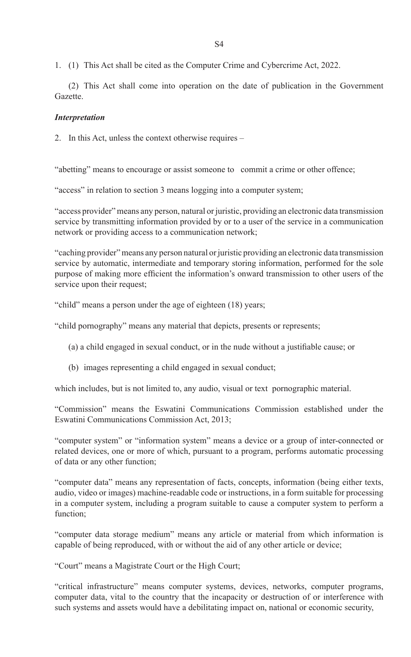1. (1) This Act shall be cited as the Computer Crime and Cybercrime Act, 2022.

(2) This Act shall come into operation on the date of publication in the Government Gazette.

#### *Interpretation*

2. In this Act, unless the context otherwise requires –

"abetting" means to encourage or assist someone to commit a crime or other offence;

"access" in relation to section 3 means logging into a computer system;

"access provider" means any person, natural or juristic, providing an electronic data transmission service by transmitting information provided by or to a user of the service in a communication network or providing access to a communication network;

"caching provider" means any person natural or juristic providing an electronic data transmission service by automatic, intermediate and temporary storing information, performed for the sole purpose of making more efficient the information's onward transmission to other users of the service upon their request;

"child" means a person under the age of eighteen (18) years;

"child pornography" means any material that depicts, presents or represents;

- (a) a child engaged in sexual conduct, or in the nude without a justifiable cause; or
- (b) images representing a child engaged in sexual conduct;

which includes, but is not limited to, any audio, visual or text pornographic material.

"Commission" means the Eswatini Communications Commission established under the Eswatini Communications Commission Act, 2013;

"computer system" or "information system" means a device or a group of inter-connected or related devices, one or more of which, pursuant to a program, performs automatic processing of data or any other function;

"computer data" means any representation of facts, concepts, information (being either texts, audio, video or images) machine-readable code or instructions, in a form suitable for processing in a computer system, including a program suitable to cause a computer system to perform a function;

"computer data storage medium" means any article or material from which information is capable of being reproduced, with or without the aid of any other article or device;

"Court" means a Magistrate Court or the High Court;

"critical infrastructure" means computer systems, devices, networks, computer programs, computer data, vital to the country that the incapacity or destruction of or interference with such systems and assets would have a debilitating impact on, national or economic security,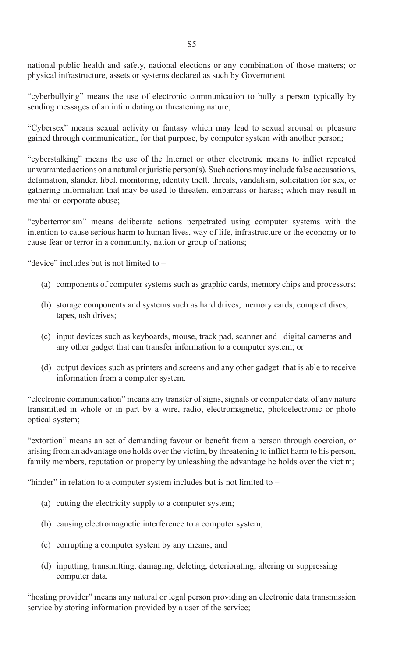national public health and safety, national elections or any combination of those matters; or physical infrastructure, assets or systems declared as such by Government

"cyberbullying" means the use of electronic communication to bully a person typically by sending messages of an intimidating or threatening nature;

"Cybersex" means sexual activity or fantasy which may lead to sexual arousal or pleasure gained through communication, for that purpose, by computer system with another person;

"cyberstalking" means the use of the Internet or other electronic means to inflict repeated unwarranted actions on a natural or juristic person(s). Such actions may include false accusations, defamation, slander, libel, monitoring, identity theft, threats, vandalism, solicitation for sex, or gathering information that may be used to threaten, embarrass or harass; which may result in mental or corporate abuse;

"cyberterrorism" means deliberate actions perpetrated using computer systems with the intention to cause serious harm to human lives, way of life, infrastructure or the economy or to cause fear or terror in a community, nation or group of nations;

"device" includes but is not limited to –

- (a) components of computer systems such as graphic cards, memory chips and processors;
- (b) storage components and systems such as hard drives, memory cards, compact discs, tapes, usb drives;
- (c) input devices such as keyboards, mouse, track pad, scanner and digital cameras and any other gadget that can transfer information to a computer system; or
- (d) output devices such as printers and screens and any other gadget that is able to receive information from a computer system.

"electronic communication" means any transfer of signs, signals or computer data of any nature transmitted in whole or in part by a wire, radio, electromagnetic, photoelectronic or photo optical system;

"extortion" means an act of demanding favour or benefit from a person through coercion, or arising from an advantage one holds over the victim, by threatening to inflict harm to his person, family members, reputation or property by unleashing the advantage he holds over the victim;

"hinder" in relation to a computer system includes but is not limited to –

- (a) cutting the electricity supply to a computer system;
- (b) causing electromagnetic interference to a computer system;
- (c) corrupting a computer system by any means; and
- (d) inputting, transmitting, damaging, deleting, deteriorating, altering or suppressing computer data.

"hosting provider" means any natural or legal person providing an electronic data transmission service by storing information provided by a user of the service;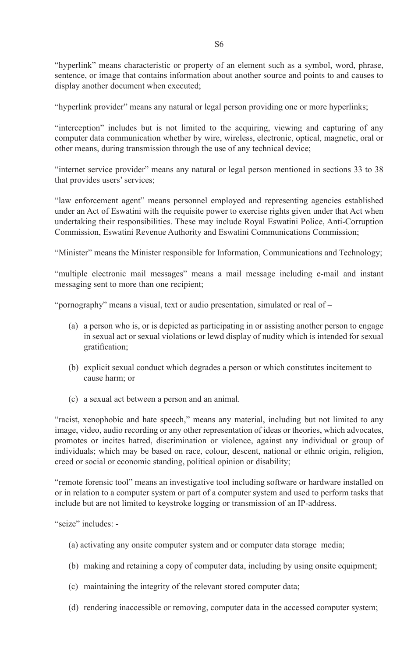"hyperlink" means characteristic or property of an element such as a symbol, word, phrase, sentence, or image that contains information about another source and points to and causes to display another document when executed;

"hyperlink provider" means any natural or legal person providing one or more hyperlinks;

"interception" includes but is not limited to the acquiring, viewing and capturing of any computer data communication whether by wire, wireless, electronic, optical, magnetic, oral or other means, during transmission through the use of any technical device;

"internet service provider" means any natural or legal person mentioned in sections 33 to 38 that provides users' services;

"law enforcement agent" means personnel employed and representing agencies established under an Act of Eswatini with the requisite power to exercise rights given under that Act when undertaking their responsibilities. These may include Royal Eswatini Police, Anti-Corruption Commission, Eswatini Revenue Authority and Eswatini Communications Commission;

"Minister" means the Minister responsible for Information, Communications and Technology;

"multiple electronic mail messages" means a mail message including e-mail and instant messaging sent to more than one recipient;

"pornography" means a visual, text or audio presentation, simulated or real of –

- (a) a person who is, or is depicted as participating in or assisting another person to engage in sexual act or sexual violations or lewd display of nudity which is intended for sexual gratification;
- (b) explicit sexual conduct which degrades a person or which constitutes incitement to cause harm; or
- (c) a sexual act between a person and an animal.

"racist, xenophobic and hate speech," means any material, including but not limited to any image, video, audio recording or any other representation of ideas or theories, which advocates, promotes or incites hatred, discrimination or violence, against any individual or group of individuals; which may be based on race, colour, descent, national or ethnic origin, religion, creed or social or economic standing, political opinion or disability;

"remote forensic tool" means an investigative tool including software or hardware installed on or in relation to a computer system or part of a computer system and used to perform tasks that include but are not limited to keystroke logging or transmission of an IP-address.

"seize" includes: -

- (a) activating any onsite computer system and or computer data storage media;
- (b) making and retaining a copy of computer data, including by using onsite equipment;
- (c) maintaining the integrity of the relevant stored computer data;
- (d) rendering inaccessible or removing, computer data in the accessed computer system;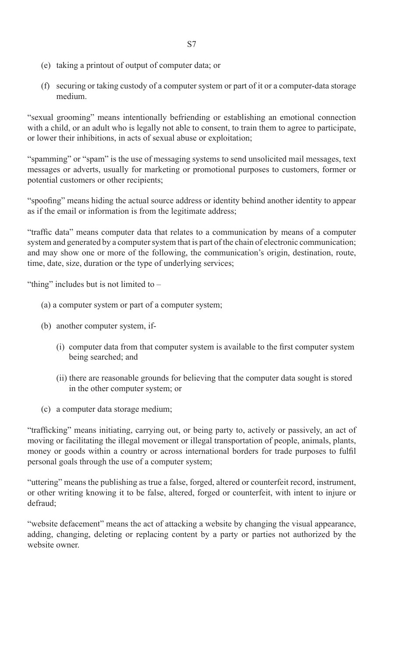- (e) taking a printout of output of computer data; or
- (f) securing or taking custody of a computer system or part of it or a computer-data storage medium.

"sexual grooming" means intentionally befriending or establishing an emotional connection with a child, or an adult who is legally not able to consent, to train them to agree to participate. or lower their inhibitions, in acts of sexual abuse or exploitation;

"spamming" or "spam" is the use of messaging systems to send unsolicited mail messages, text messages or adverts, usually for marketing or promotional purposes to customers, former or potential customers or other recipients;

"spoofing" means hiding the actual source address or identity behind another identity to appear as if the email or information is from the legitimate address;

"traffic data" means computer data that relates to a communication by means of a computer system and generated by a computer system that is part of the chain of electronic communication; and may show one or more of the following, the communication's origin, destination, route, time, date, size, duration or the type of underlying services;

"thing" includes but is not limited to –

- (a) a computer system or part of a computer system;
- (b) another computer system, if-
	- (i) computer data from that computer system is available to the first computer system being searched; and
	- (ii) there are reasonable grounds for believing that the computer data sought is stored in the other computer system; or
- (c) a computer data storage medium;

"trafficking" means initiating, carrying out, or being party to, actively or passively, an act of moving or facilitating the illegal movement or illegal transportation of people, animals, plants, money or goods within a country or across international borders for trade purposes to fulfil personal goals through the use of a computer system;

"uttering" means the publishing as true a false, forged, altered or counterfeit record, instrument, or other writing knowing it to be false, altered, forged or counterfeit, with intent to injure or defraud;

"website defacement" means the act of attacking a website by changing the visual appearance, adding, changing, deleting or replacing content by a party or parties not authorized by the website owner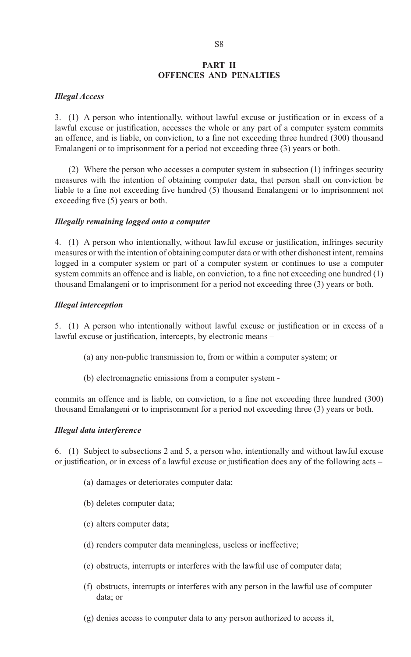#### **PART II OFFENCES AND PENALTIES**

#### *Illegal Access*

3. (1) A person who intentionally, without lawful excuse or justification or in excess of a lawful excuse or justification, accesses the whole or any part of a computer system commits an offence, and is liable, on conviction, to a fine not exceeding three hundred (300) thousand Emalangeni or to imprisonment for a period not exceeding three (3) years or both.

(2) Where the person who accesses a computer system in subsection (1) infringes security measures with the intention of obtaining computer data, that person shall on conviction be liable to a fine not exceeding five hundred (5) thousand Emalangeni or to imprisonment not exceeding five (5) years or both.

#### *Illegally remaining logged onto a computer*

4. (1) A person who intentionally, without lawful excuse or justification, infringes security measures or with the intention of obtaining computer data or with other dishonest intent, remains logged in a computer system or part of a computer system or continues to use a computer system commits an offence and is liable, on conviction, to a fine not exceeding one hundred (1) thousand Emalangeni or to imprisonment for a period not exceeding three (3) years or both.

#### *Illegal interception*

5. (1) A person who intentionally without lawful excuse or justification or in excess of a lawful excuse or justification, intercepts, by electronic means –

- (a) any non-public transmission to, from or within a computer system; or
- (b) electromagnetic emissions from a computer system -

commits an offence and is liable, on conviction, to a fine not exceeding three hundred (300) thousand Emalangeni or to imprisonment for a period not exceeding three (3) years or both.

# *Illegal data interference*

6. (1) Subject to subsections 2 and 5, a person who, intentionally and without lawful excuse or justification, or in excess of a lawful excuse or justification does any of the following acts –

- (a) damages or deteriorates computer data;
- (b) deletes computer data;
- (c) alters computer data;
- (d) renders computer data meaningless, useless or ineffective;
- (e) obstructs, interrupts or interferes with the lawful use of computer data;
- (f) obstructs, interrupts or interferes with any person in the lawful use of computer data; or
- (g) denies access to computer data to any person authorized to access it,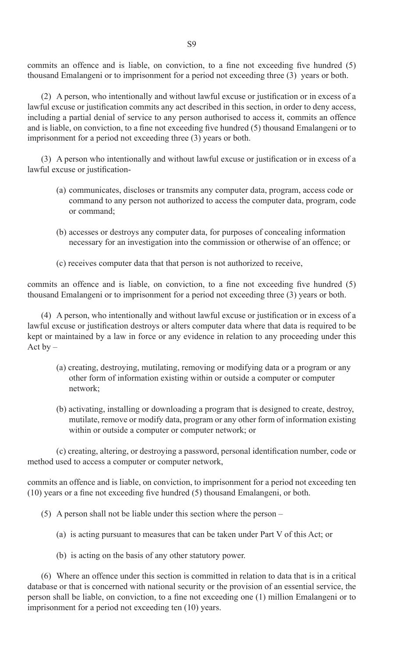commits an offence and is liable, on conviction, to a fine not exceeding five hundred (5) thousand Emalangeni or to imprisonment for a period not exceeding three (3) years or both.

 (2) A person, who intentionally and without lawful excuse or justification or in excess of a lawful excuse or justification commits any act described in this section, in order to deny access, including a partial denial of service to any person authorised to access it, commits an offence and is liable, on conviction, to a fine not exceeding five hundred (5) thousand Emalangeni or to imprisonment for a period not exceeding three (3) years or both.

 (3) A person who intentionally and without lawful excuse or justification or in excess of a lawful excuse or justification-

- (a) communicates, discloses or transmits any computer data, program, access code or command to any person not authorized to access the computer data, program, code or command;
- (b) accesses or destroys any computer data, for purposes of concealing information necessary for an investigation into the commission or otherwise of an offence; or
- (c) receives computer data that that person is not authorized to receive,

commits an offence and is liable, on conviction, to a fine not exceeding five hundred (5) thousand Emalangeni or to imprisonment for a period not exceeding three (3) years or both.

 (4) A person, who intentionally and without lawful excuse or justification or in excess of a lawful excuse or justification destroys or alters computer data where that data is required to be kept or maintained by a law in force or any evidence in relation to any proceeding under this Act  $by -$ 

- (a) creating, destroying, mutilating, removing or modifying data or a program or any other form of information existing within or outside a computer or computer network;
- (b) activating, installing or downloading a program that is designed to create, destroy, mutilate, remove or modify data, program or any other form of information existing within or outside a computer or computer network; or

 (c) creating, altering, or destroying a password, personal identification number, code or method used to access a computer or computer network,

commits an offence and is liable, on conviction, to imprisonment for a period not exceeding ten (10) years or a fine not exceeding five hundred (5) thousand Emalangeni, or both.

- (5) A person shall not be liable under this section where the person
	- (a) is acting pursuant to measures that can be taken under Part V of this Act; or
	- (b) is acting on the basis of any other statutory power.

(6) Where an offence under this section is committed in relation to data that is in a critical database or that is concerned with national security or the provision of an essential service, the person shall be liable, on conviction, to a fine not exceeding one (1) million Emalangeni or to imprisonment for a period not exceeding ten (10) years.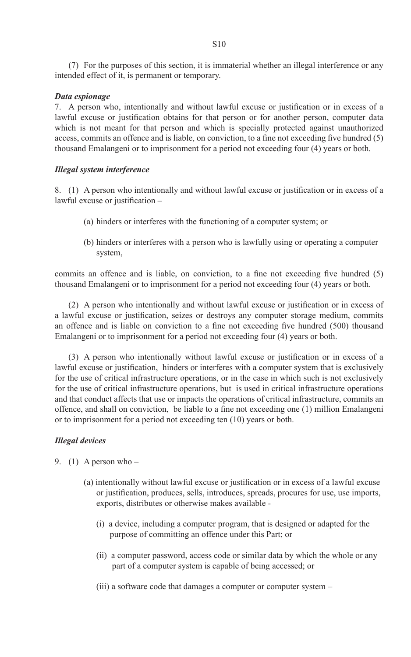(7) For the purposes of this section, it is immaterial whether an illegal interference or any intended effect of it, is permanent or temporary.

#### *Data espionage*

7. A person who, intentionally and without lawful excuse or justification or in excess of a lawful excuse or justification obtains for that person or for another person, computer data which is not meant for that person and which is specially protected against unauthorized access, commits an offence and is liable, on conviction, to a fine not exceeding five hundred (5) thousand Emalangeni or to imprisonment for a period not exceeding four (4) years or both.

#### *Illegal system interference*

8. (1) A person who intentionally and without lawful excuse or justification or in excess of a lawful excuse or justification –

- (a) hinders or interferes with the functioning of a computer system; or
- (b) hinders or interferes with a person who is lawfully using or operating a computer system,

commits an offence and is liable, on conviction, to a fine not exceeding five hundred (5) thousand Emalangeni or to imprisonment for a period not exceeding four (4) years or both.

 (2) A person who intentionally and without lawful excuse or justification or in excess of a lawful excuse or justification, seizes or destroys any computer storage medium, commits an offence and is liable on conviction to a fine not exceeding five hundred (500) thousand Emalangeni or to imprisonment for a period not exceeding four (4) years or both.

(3) A person who intentionally without lawful excuse or justification or in excess of a lawful excuse or justification, hinders or interferes with a computer system that is exclusively for the use of critical infrastructure operations, or in the case in which such is not exclusively for the use of critical infrastructure operations, but is used in critical infrastructure operations and that conduct affects that use or impacts the operations of critical infrastructure, commits an offence, and shall on conviction, be liable to a fine not exceeding one (1) million Emalangeni or to imprisonment for a period not exceeding ten (10) years or both.

#### *Illegal devices*

9. (1) A person who  $-$ 

- (a) intentionally without lawful excuse or justification or in excess of a lawful excuse or justification, produces, sells, introduces, spreads, procures for use, use imports, exports, distributes or otherwise makes available -
	- (i) a device, including a computer program, that is designed or adapted for the purpose of committing an offence under this Part; or
	- (ii) a computer password, access code or similar data by which the whole or any part of a computer system is capable of being accessed; or
	- (iii) a software code that damages a computer or computer system –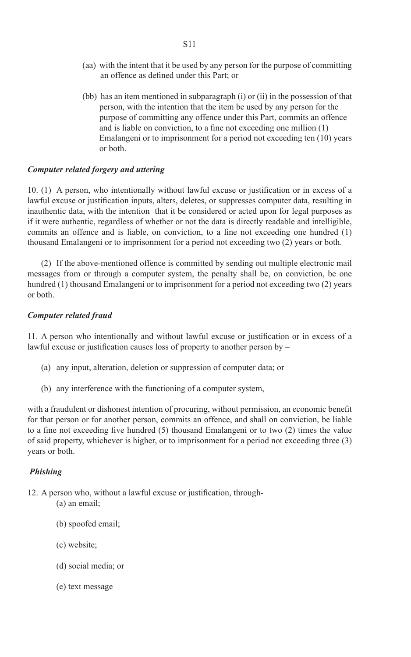- (aa) with the intent that it be used by any person for the purpose of committing an offence as defined under this Part; or
- (bb) has an item mentioned in subparagraph (i) or (ii) in the possession of that person, with the intention that the item be used by any person for the purpose of committing any offence under this Part, commits an offence and is liable on conviction, to a fine not exceeding one million (1) Emalangeni or to imprisonment for a period not exceeding ten (10) years or both.

#### *Computer related forgery and uttering*

10. (1) A person, who intentionally without lawful excuse or justification or in excess of a lawful excuse or justification inputs, alters, deletes, or suppresses computer data, resulting in inauthentic data, with the intention that it be considered or acted upon for legal purposes as if it were authentic, regardless of whether or not the data is directly readable and intelligible, commits an offence and is liable, on conviction, to a fine not exceeding one hundred (1) thousand Emalangeni or to imprisonment for a period not exceeding two (2) years or both.

(2) If the above-mentioned offence is committed by sending out multiple electronic mail messages from or through a computer system, the penalty shall be, on conviction, be one hundred (1) thousand Emalangeni or to imprisonment for a period not exceeding two (2) years or both.

#### *Computer related fraud*

11. A person who intentionally and without lawful excuse or justification or in excess of a lawful excuse or justification causes loss of property to another person by –

- (a) any input, alteration, deletion or suppression of computer data; or
- (b) any interference with the functioning of a computer system,

with a fraudulent or dishonest intention of procuring, without permission, an economic benefit for that person or for another person, commits an offence, and shall on conviction, be liable to a fine not exceeding five hundred (5) thousand Emalangeni or to two (2) times the value of said property, whichever is higher, or to imprisonment for a period not exceeding three (3) years or both.

#### *Phishing*

- 12. A person who, without a lawful excuse or justification, through- (a) an email;
	- (b) spoofed email;
	- (c) website;
	- (d) social media; or
	- (e) text message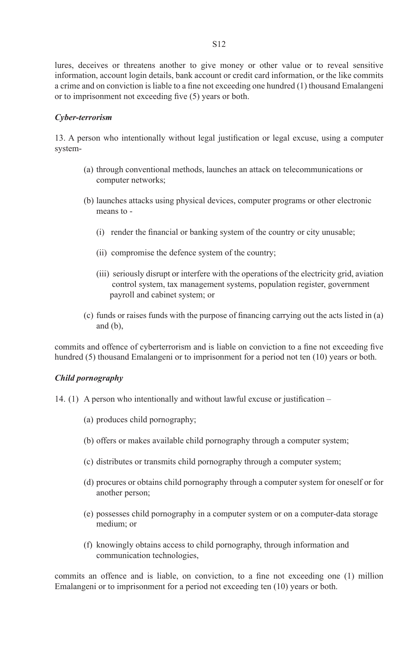lures, deceives or threatens another to give money or other value or to reveal sensitive information, account login details, bank account or credit card information, or the like commits a crime and on conviction is liable to a fine not exceeding one hundred (1) thousand Emalangeni or to imprisonment not exceeding five (5) years or both.

#### *Cyber-terrorism*

13. A person who intentionally without legal justification or legal excuse, using a computer system-

- (a) through conventional methods, launches an attack on telecommunications or computer networks;
- (b) launches attacks using physical devices, computer programs or other electronic means to -
	- (i) render the financial or banking system of the country or city unusable;
	- (ii) compromise the defence system of the country;
	- (iii) seriously disrupt or interfere with the operations of the electricity grid, aviation control system, tax management systems, population register, government payroll and cabinet system; or
- $(c)$  funds or raises funds with the purpose of financing carrying out the acts listed in  $(a)$ and (b),

commits and offence of cyberterrorism and is liable on conviction to a fine not exceeding five hundred (5) thousand Emalangeni or to imprisonment for a period not ten (10) years or both.

#### *Child pornography*

- 14. (1) A person who intentionally and without lawful excuse or justification
	- (a) produces child pornography;
	- (b) offers or makes available child pornography through a computer system;
	- (c) distributes or transmits child pornography through a computer system;
	- (d) procures or obtains child pornography through a computer system for oneself or for another person;
	- (e) possesses child pornography in a computer system or on a computer-data storage medium; or
	- (f) knowingly obtains access to child pornography, through information and communication technologies,

commits an offence and is liable, on conviction, to a fine not exceeding one (1) million Emalangeni or to imprisonment for a period not exceeding ten (10) years or both.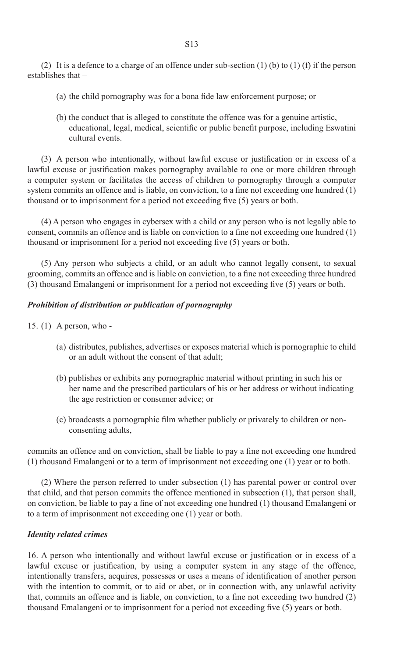(2) It is a defence to a charge of an offence under sub-section (1) (b) to (1) (f) if the person establishes that –

- (a) the child pornography was for a bona fide law enforcement purpose; or
- (b) the conduct that is alleged to constitute the offence was for a genuine artistic, educational, legal, medical, scientific or public benefit purpose, including Eswatini cultural events.

 (3) A person who intentionally, without lawful excuse or justification or in excess of a lawful excuse or justification makes pornography available to one or more children through a computer system or facilitates the access of children to pornography through a computer system commits an offence and is liable, on conviction, to a fine not exceeding one hundred (1) thousand or to imprisonment for a period not exceeding five (5) years or both.

(4) A person who engages in cybersex with a child or any person who is not legally able to consent, commits an offence and is liable on conviction to a fine not exceeding one hundred (1) thousand or imprisonment for a period not exceeding five (5) years or both.

(5) Any person who subjects a child, or an adult who cannot legally consent, to sexual grooming, commits an offence and is liable on conviction, to a fine not exceeding three hundred (3) thousand Emalangeni or imprisonment for a period not exceeding five (5) years or both.

#### *Prohibition of distribution or publication of pornography*

- 15. (1) A person, who
	- (a) distributes, publishes, advertises or exposes material which is pornographic to child or an adult without the consent of that adult;
	- (b) publishes or exhibits any pornographic material without printing in such his or her name and the prescribed particulars of his or her address or without indicating the age restriction or consumer advice; or
	- (c) broadcasts a pornographic film whether publicly or privately to children or non consenting adults,

commits an offence and on conviction, shall be liable to pay a fine not exceeding one hundred (1) thousand Emalangeni or to a term of imprisonment not exceeding one (1) year or to both.

(2) Where the person referred to under subsection (1) has parental power or control over that child, and that person commits the offence mentioned in subsection (1), that person shall, on conviction, be liable to pay a fine of not exceeding one hundred (1) thousand Emalangeni or to a term of imprisonment not exceeding one (1) year or both.

# *Identity related crimes*

16. A person who intentionally and without lawful excuse or justification or in excess of a lawful excuse or justification, by using a computer system in any stage of the offence, intentionally transfers, acquires, possesses or uses a means of identification of another person with the intention to commit, or to aid or abet, or in connection with, any unlawful activity that, commits an offence and is liable, on conviction, to a fine not exceeding two hundred (2) thousand Emalangeni or to imprisonment for a period not exceeding five (5) years or both.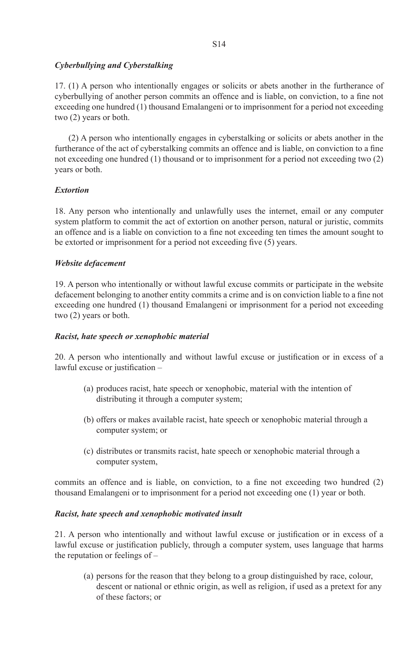# *Cyberbullying and Cyberstalking*

17. (1) A person who intentionally engages or solicits or abets another in the furtherance of cyberbullying of another person commits an offence and is liable, on conviction, to a fine not exceeding one hundred (1) thousand Emalangeni or to imprisonment for a period not exceeding two (2) years or both.

(2) A person who intentionally engages in cyberstalking or solicits or abets another in the furtherance of the act of cyberstalking commits an offence and is liable, on conviction to a fine not exceeding one hundred (1) thousand or to imprisonment for a period not exceeding two (2) years or both.

# *Extortion*

18. Any person who intentionally and unlawfully uses the internet, email or any computer system platform to commit the act of extortion on another person, natural or juristic, commits an offence and is a liable on conviction to a fine not exceeding ten times the amount sought to be extorted or imprisonment for a period not exceeding five (5) years.

#### *Website defacement*

19. A person who intentionally or without lawful excuse commits or participate in the website defacement belonging to another entity commits a crime and is on conviction liable to a fine not exceeding one hundred (1) thousand Emalangeni or imprisonment for a period not exceeding two (2) years or both.

#### *Racist, hate speech or xenophobic material*

20. A person who intentionally and without lawful excuse or justification or in excess of a lawful excuse or justification –

- (a) produces racist, hate speech or xenophobic, material with the intention of distributing it through a computer system;
- (b) offers or makes available racist, hate speech or xenophobic material through a computer system; or
- (c) distributes or transmits racist, hate speech or xenophobic material through a computer system,

commits an offence and is liable, on conviction, to a fine not exceeding two hundred (2) thousand Emalangeni or to imprisonment for a period not exceeding one (1) year or both.

#### *Racist, hate speech and xenophobic motivated insult*

21. A person who intentionally and without lawful excuse or justification or in excess of a lawful excuse or justification publicly, through a computer system, uses language that harms the reputation or feelings of –

 (a) persons for the reason that they belong to a group distinguished by race, colour, descent or national or ethnic origin, as well as religion, if used as a pretext for any of these factors; or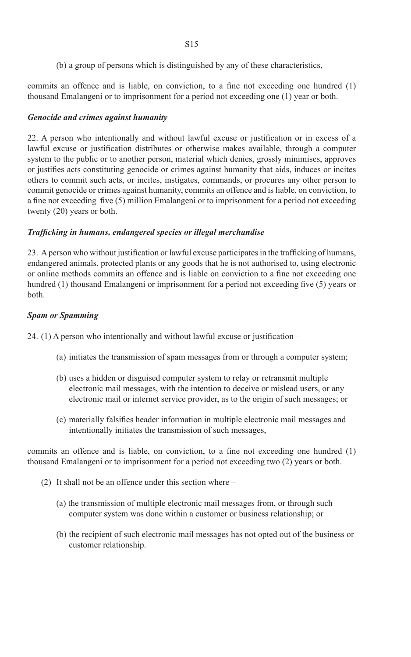(b) a group of persons which is distinguished by any of these characteristics,

commits an offence and is liable, on conviction, to a fine not exceeding one hundred (1) thousand Emalangeni or to imprisonment for a period not exceeding one (1) year or both.

# *Genocide and crimes against humanity*

22. A person who intentionally and without lawful excuse or justification or in excess of a lawful excuse or justification distributes or otherwise makes available, through a computer system to the public or to another person, material which denies, grossly minimises, approves or justifies acts constituting genocide or crimes against humanity that aids, induces or incites others to commit such acts, or incites, instigates, commands, or procures any other person to commit genocide or crimes against humanity, commits an offence and is liable, on conviction, to a fine not exceeding five (5) million Emalangeni or to imprisonment for a period not exceeding twenty (20) years or both.

# *Trafficking in humans, endangered species or illegal merchandise*

23. A person who without justification or lawful excuse participates in the trafficking of humans, endangered animals, protected plants or any goods that he is not authorised to, using electronic or online methods commits an offence and is liable on conviction to a fine not exceeding one hundred (1) thousand Emalangeni or imprisonment for a period not exceeding five (5) years or both.

# *Spam or Spamming*

24.  $(1)$  A person who intentionally and without lawful excuse or justification –

- (a) initiates the transmission of spam messages from or through a computer system;
- (b) uses a hidden or disguised computer system to relay or retransmit multiple electronic mail messages, with the intention to deceive or mislead users, or any electronic mail or internet service provider, as to the origin of such messages; or
- (c) materially falsifies header information in multiple electronic mail messages and intentionally initiates the transmission of such messages,

commits an offence and is liable, on conviction, to a fine not exceeding one hundred (1) thousand Emalangeni or to imprisonment for a period not exceeding two (2) years or both.

- (2) It shall not be an offence under this section where
	- (a) the transmission of multiple electronic mail messages from, or through such computer system was done within a customer or business relationship; or
	- (b) the recipient of such electronic mail messages has not opted out of the business or customer relationship.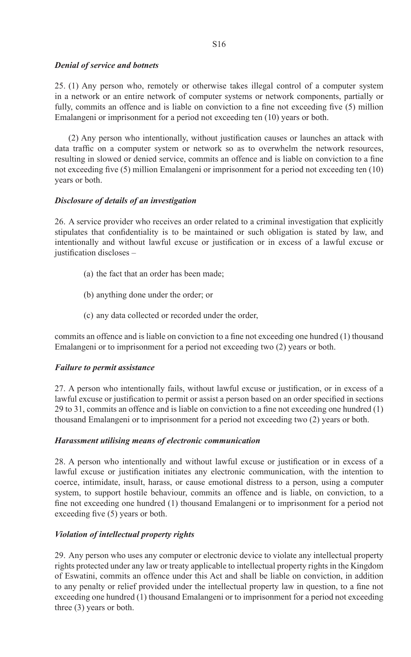#### *Denial of service and botnets*

25. (1) Any person who, remotely or otherwise takes illegal control of a computer system in a network or an entire network of computer systems or network components, partially or fully, commits an offence and is liable on conviction to a fine not exceeding five (5) million Emalangeni or imprisonment for a period not exceeding ten (10) years or both.

 (2) Any person who intentionally, without justification causes or launches an attack with data traffic on a computer system or network so as to overwhelm the network resources, resulting in slowed or denied service, commits an offence and is liable on conviction to a fine not exceeding five (5) million Emalangeni or imprisonment for a period not exceeding ten (10) years or both.

#### *Disclosure of details of an investigation*

26. A service provider who receives an order related to a criminal investigation that explicitly stipulates that confidentiality is to be maintained or such obligation is stated by law, and intentionally and without lawful excuse or justification or in excess of a lawful excuse or justification discloses –

- (a) the fact that an order has been made;
- (b) anything done under the order; or
- (c) any data collected or recorded under the order,

commits an offence and is liable on conviction to a fine not exceeding one hundred (1) thousand Emalangeni or to imprisonment for a period not exceeding two (2) years or both.

#### *Failure to permit assistance*

27. A person who intentionally fails, without lawful excuse or justification, or in excess of a lawful excuse or justification to permit or assist a person based on an order specified in sections 29 to 31, commits an offence and is liable on conviction to a fine not exceeding one hundred (1) thousand Emalangeni or to imprisonment for a period not exceeding two (2) years or both.

#### *Harassment utilising means of electronic communication*

28. A person who intentionally and without lawful excuse or justification or in excess of a lawful excuse or justification initiates any electronic communication, with the intention to coerce, intimidate, insult, harass, or cause emotional distress to a person, using a computer system, to support hostile behaviour, commits an offence and is liable, on conviction, to a fine not exceeding one hundred (1) thousand Emalangeni or to imprisonment for a period not exceeding five (5) years or both.

# *Violation of intellectual property rights*

29. Any person who uses any computer or electronic device to violate any intellectual property rights protected under any law or treaty applicable to intellectual property rights in the Kingdom of Eswatini, commits an offence under this Act and shall be liable on conviction, in addition to any penalty or relief provided under the intellectual property law in question, to a fine not exceeding one hundred (1) thousand Emalangeni or to imprisonment for a period not exceeding three (3) years or both.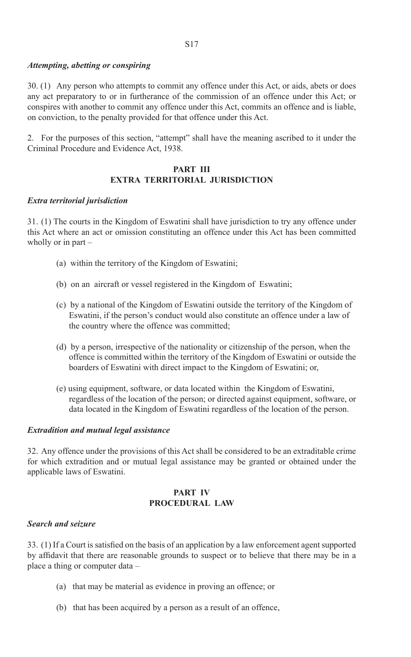#### *Attempting, abetting or conspiring*

30. (1) Any person who attempts to commit any offence under this Act, or aids, abets or does any act preparatory to or in furtherance of the commission of an offence under this Act; or conspires with another to commit any offence under this Act, commits an offence and is liable, on conviction, to the penalty provided for that offence under this Act.

2. For the purposes of this section, "attempt" shall have the meaning ascribed to it under the Criminal Procedure and Evidence Act, 1938.

#### **PART III EXTRA TERRITORIAL JURISDICTION**

#### *Extra territorial jurisdiction*

31. (1) The courts in the Kingdom of Eswatini shall have jurisdiction to try any offence under this Act where an act or omission constituting an offence under this Act has been committed wholly or in part –

- (a) within the territory of the Kingdom of Eswatini;
- (b) on an aircraft or vessel registered in the Kingdom of Eswatini;
- (c) by a national of the Kingdom of Eswatini outside the territory of the Kingdom of Eswatini, if the person's conduct would also constitute an offence under a law of the country where the offence was committed;
- (d) by a person, irrespective of the nationality or citizenship of the person, when the offence is committed within the territory of the Kingdom of Eswatini or outside the boarders of Eswatini with direct impact to the Kingdom of Eswatini; or,
- (e) using equipment, software, or data located within the Kingdom of Eswatini, regardless of the location of the person; or directed against equipment, software, or data located in the Kingdom of Eswatini regardless of the location of the person.

#### *Extradition and mutual legal assistance*

32. Any offence under the provisions of this Act shall be considered to be an extraditable crime for which extradition and or mutual legal assistance may be granted or obtained under the applicable laws of Eswatini.

#### **PART IV PROCEDURAL LAW**

#### *Search and seizure*

33. (1) If a Court is satisfied on the basis of an application by a law enforcement agent supported by affidavit that there are reasonable grounds to suspect or to believe that there may be in a place a thing or computer data –

- (a) that may be material as evidence in proving an offence; or
- (b) that has been acquired by a person as a result of an offence,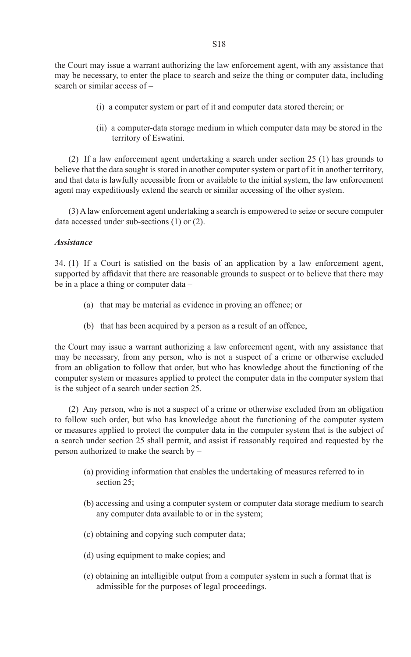the Court may issue a warrant authorizing the law enforcement agent, with any assistance that may be necessary, to enter the place to search and seize the thing or computer data, including search or similar access of –

- (i) a computer system or part of it and computer data stored therein; or
- (ii) a computer-data storage medium in which computer data may be stored in the territory of Eswatini.

(2) If a law enforcement agent undertaking a search under section 25 (1) has grounds to believe that the data sought is stored in another computer system or part of it in another territory, and that data is lawfully accessible from or available to the initial system, the law enforcement agent may expeditiously extend the search or similar accessing of the other system.

(3) A law enforcement agent undertaking a search is empowered to seize or secure computer data accessed under sub-sections (1) or (2).

#### *Assistance*

34. (1) If a Court is satisfied on the basis of an application by a law enforcement agent, supported by affidavit that there are reasonable grounds to suspect or to believe that there may be in a place a thing or computer data –

- (a) that may be material as evidence in proving an offence; or
- (b) that has been acquired by a person as a result of an offence,

the Court may issue a warrant authorizing a law enforcement agent, with any assistance that may be necessary, from any person, who is not a suspect of a crime or otherwise excluded from an obligation to follow that order, but who has knowledge about the functioning of the computer system or measures applied to protect the computer data in the computer system that is the subject of a search under section 25.

(2) Any person, who is not a suspect of a crime or otherwise excluded from an obligation to follow such order, but who has knowledge about the functioning of the computer system or measures applied to protect the computer data in the computer system that is the subject of a search under section 25 shall permit, and assist if reasonably required and requested by the person authorized to make the search by –

- (a) providing information that enables the undertaking of measures referred to in section 25:
- (b) accessing and using a computer system or computer data storage medium to search any computer data available to or in the system;
- (c) obtaining and copying such computer data;
- (d) using equipment to make copies; and
- (e) obtaining an intelligible output from a computer system in such a format that is admissible for the purposes of legal proceedings.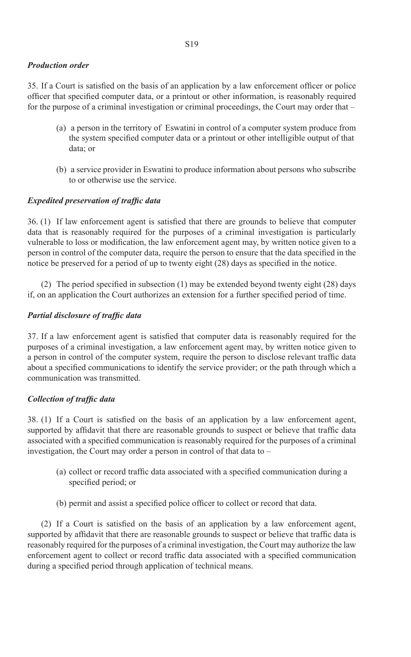#### *Production order*

35. If a Court is satisfied on the basis of an application by a law enforcement officer or police officer that specified computer data, or a printout or other information, is reasonably required for the purpose of a criminal investigation or criminal proceedings, the Court may order that –

- (a) a person in the territory of Eswatini in control of a computer system produce from the system specified computer data or a printout or other intelligible output of that data; or
- (b) a service provider in Eswatini to produce information about persons who subscribe to or otherwise use the service.

#### *Expedited preservation of traffic data*

36. (1) If law enforcement agent is satisfied that there are grounds to believe that computer data that is reasonably required for the purposes of a criminal investigation is particularly vulnerable to loss or modification, the law enforcement agent may, by written notice given to a person in control of the computer data, require the person to ensure that the data specified in the notice be preserved for a period of up to twenty eight (28) days as specified in the notice.

(2) The period specified in subsection  $(1)$  may be extended beyond twenty eight (28) days if, on an application the Court authorizes an extension for a further specified period of time.

#### *Partial disclosure of traffic data*

37. If a law enforcement agent is satisfied that computer data is reasonably required for the purposes of a criminal investigation, a law enforcement agent may, by written notice given to a person in control of the computer system, require the person to disclose relevant traffic data about a specified communications to identify the service provider; or the path through which a communication was transmitted.

#### *Collection of traffic data*

 $38.$  (1) If a Court is satisfied on the basis of an application by a law enforcement agent, supported by affidavit that there are reasonable grounds to suspect or believe that traffic data associated with a specified communication is reasonably required for the purposes of a criminal investigation, the Court may order a person in control of that data to –

- (a) collect or record traffic data associated with a specified communication during a specified period; or
- (b) permit and assist a specified police officer to collect or record that data.

(2) If a Court is satisfied on the basis of an application by a law enforcement agent, supported by affidavit that there are reasonable grounds to suspect or believe that traffic data is reasonably required for the purposes of a criminal investigation, the Court may authorize the law enforcement agent to collect or record traffic data associated with a specified communication during a specified period through application of technical means.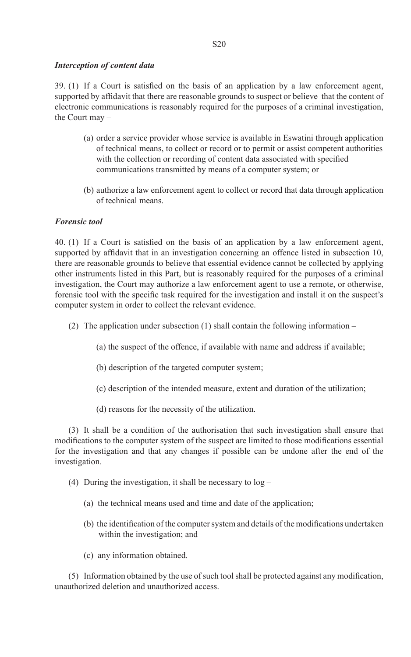#### *Interception of content data*

 $39.$  (1) If a Court is satisfied on the basis of an application by a law enforcement agent, supported by affidavit that there are reasonable grounds to suspect or believe that the content of electronic communications is reasonably required for the purposes of a criminal investigation, the Court may –

- (a) order a service provider whose service is available in Eswatini through application of technical means, to collect or record or to permit or assist competent authorities with the collection or recording of content data associated with specified communications transmitted by means of a computer system; or
- (b) authorize a law enforcement agent to collect or record that data through application of technical means.

#### *Forensic tool*

40. (1) If a Court is satisfied on the basis of an application by a law enforcement agent, supported by affidavit that in an investigation concerning an offence listed in subsection 10, there are reasonable grounds to believe that essential evidence cannot be collected by applying other instruments listed in this Part, but is reasonably required for the purposes of a criminal investigation, the Court may authorize a law enforcement agent to use a remote, or otherwise, forensic tool with the specific task required for the investigation and install it on the suspect's computer system in order to collect the relevant evidence.

- (2) The application under subsection (1) shall contain the following information
	- (a) the suspect of the offence, if available with name and address if available;
	- (b) description of the targeted computer system;
	- (c) description of the intended measure, extent and duration of the utilization;
	- (d) reasons for the necessity of the utilization.

(3) It shall be a condition of the authorisation that such investigation shall ensure that modifications to the computer system of the suspect are limited to those modifications essential for the investigation and that any changes if possible can be undone after the end of the investigation.

- (4) During the investigation, it shall be necessary to log
	- (a) the technical means used and time and date of the application;
	- (b) the identification of the computer system and details of the modifications undertaken within the investigation; and
	- (c) any information obtained.

(5) Information obtained by the use of such tool shall be protected against any modification, unauthorized deletion and unauthorized access.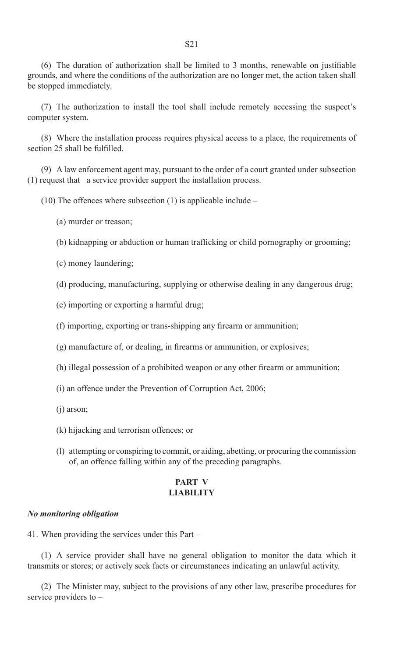$(6)$  The duration of authorization shall be limited to 3 months, renewable on justifiable grounds, and where the conditions of the authorization are no longer met, the action taken shall be stopped immediately.

 (7) The authorization to install the tool shall include remotely accessing the suspect's computer system.

(8) Where the installation process requires physical access to a place, the requirements of section 25 shall be fulfilled.

(9) A law enforcement agent may, pursuant to the order of a court granted under subsection (1) request that a service provider support the installation process.

 $(10)$  The offences where subsection  $(1)$  is applicable include –

(a) murder or treason;

 (b) kidnapping or abduction or human trafficking or child pornography or grooming;

(c) money laundering;

(d) producing, manufacturing, supplying or otherwise dealing in any dangerous drug;

(e) importing or exporting a harmful drug;

 (f) importing, exporting or trans-shipping any firearm or ammunition;

 (g) manufacture of, or dealing, in firearms or ammunition, or explosives;

 (h) illegal possession of a prohibited weapon or any other firearm or ammunition;

(i) an offence under the Prevention of Corruption Act, 2006;

(j) arson;

(k) hijacking and terrorism offences; or

 (l) attempting or conspiring to commit, or aiding, abetting, or procuring the commission of, an offence falling within any of the preceding paragraphs.

#### **PART V LIABILITY**

#### *No monitoring obligation*

41. When providing the services under this Part –

(1) A service provider shall have no general obligation to monitor the data which it transmits or stores; or actively seek facts or circumstances indicating an unlawful activity.

(2) The Minister may, subject to the provisions of any other law, prescribe procedures for service providers to –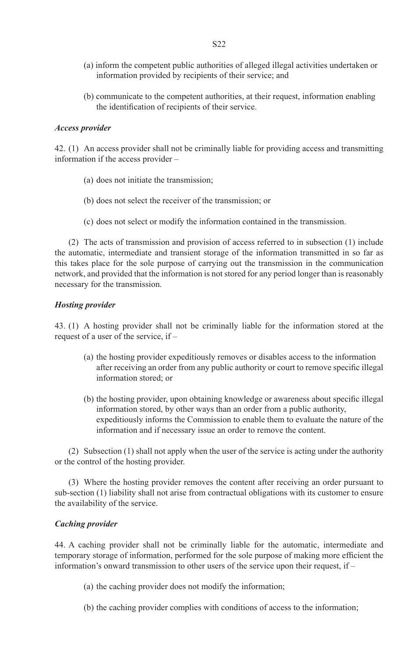- (a) inform the competent public authorities of alleged illegal activities undertaken or information provided by recipients of their service; and
- (b) communicate to the competent authorities, at their request, information enabling the identification of recipients of their service.

#### *Access provider*

42. (1) An access provider shall not be criminally liable for providing access and transmitting information if the access provider –

- (a) does not initiate the transmission;
- (b) does not select the receiver of the transmission; or
- (c) does not select or modify the information contained in the transmission.

(2) The acts of transmission and provision of access referred to in subsection (1) include the automatic, intermediate and transient storage of the information transmitted in so far as this takes place for the sole purpose of carrying out the transmission in the communication network, and provided that the information is not stored for any period longer than is reasonably necessary for the transmission.

#### *Hosting provider*

43. (1) A hosting provider shall not be criminally liable for the information stored at the request of a user of the service, if –

- (a) the hosting provider expeditiously removes or disables access to the information after receiving an order from any public authority or court to remove specific illegal information stored; or
- (b) the hosting provider, upon obtaining knowledge or awareness about specific illegal information stored, by other ways than an order from a public authority, expeditiously informs the Commission to enable them to evaluate the nature of the information and if necessary issue an order to remove the content.

(2) Subsection (1) shall not apply when the user of the service is acting under the authority or the control of the hosting provider.

(3) Where the hosting provider removes the content after receiving an order pursuant to sub-section (1) liability shall not arise from contractual obligations with its customer to ensure the availability of the service.

#### *Caching provider*

44. A caching provider shall not be criminally liable for the automatic, intermediate and temporary storage of information, performed for the sole purpose of making more efficient the information's onward transmission to other users of the service upon their request, if –

- (a) the caching provider does not modify the information;
- (b) the caching provider complies with conditions of access to the information;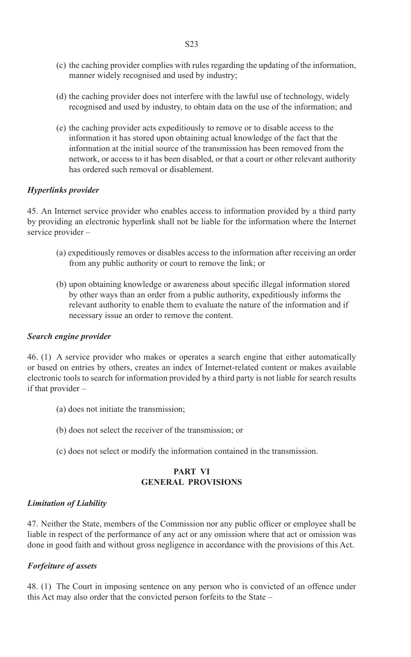- (c) the caching provider complies with rules regarding the updating of the information, manner widely recognised and used by industry;
- (d) the caching provider does not interfere with the lawful use of technology, widely recognised and used by industry, to obtain data on the use of the information; and
- (e) the caching provider acts expeditiously to remove or to disable access to the information it has stored upon obtaining actual knowledge of the fact that the information at the initial source of the transmission has been removed from the network, or access to it has been disabled, or that a court or other relevant authority has ordered such removal or disablement.

#### *Hyperlinks provider*

45. An Internet service provider who enables access to information provided by a third party by providing an electronic hyperlink shall not be liable for the information where the Internet service provider –

- (a) expeditiously removes or disables access to the information after receiving an order from any public authority or court to remove the link; or
- (b) upon obtaining knowledge or awareness about specific illegal information stored by other ways than an order from a public authority, expeditiously informs the relevant authority to enable them to evaluate the nature of the information and if necessary issue an order to remove the content.

#### *Search engine provider*

46. (1) A service provider who makes or operates a search engine that either automatically or based on entries by others, creates an index of Internet-related content or makes available electronic tools to search for information provided by a third party is not liable for search results if that provider –

- (a) does not initiate the transmission;
- (b) does not select the receiver of the transmission; or
- (c) does not select or modify the information contained in the transmission.

#### **PART VI GENERAL PROVISIONS**

#### *Limitation of Liability*

47. Neither the State, members of the Commission nor any public officer or employee shall be liable in respect of the performance of any act or any omission where that act or omission was done in good faith and without gross negligence in accordance with the provisions of this Act.

#### *Forfeiture of assets*

48. (1) The Court in imposing sentence on any person who is convicted of an offence under this Act may also order that the convicted person forfeits to the State –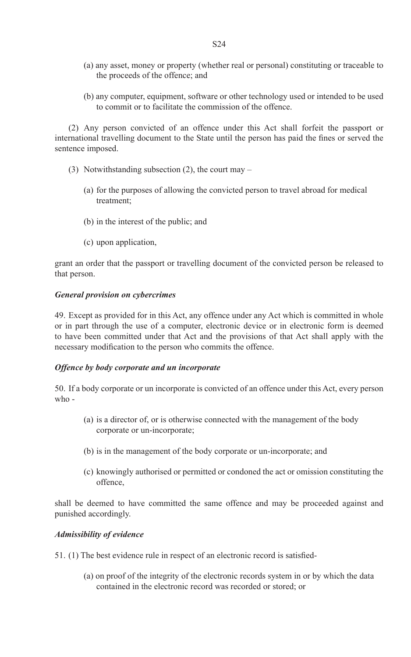- (a) any asset, money or property (whether real or personal) constituting or traceable to the proceeds of the offence; and
- (b) any computer, equipment, software or other technology used or intended to be used to commit or to facilitate the commission of the offence.

(2) Any person convicted of an offence under this Act shall forfeit the passport or international travelling document to the State until the person has paid the fines or served the sentence imposed.

- (3) Notwithstanding subsection (2), the court may
	- (a) for the purposes of allowing the convicted person to travel abroad for medical treatment;
	- (b) in the interest of the public; and
	- (c) upon application,

grant an order that the passport or travelling document of the convicted person be released to that person.

#### *General provision on cybercrimes*

49. Except as provided for in this Act, any offence under any Act which is committed in whole or in part through the use of a computer, electronic device or in electronic form is deemed to have been committed under that Act and the provisions of that Act shall apply with the necessary modification to the person who commits the offence.

#### *Offence by body corporate and un incorporate*

50. If a body corporate or un incorporate is convicted of an offence under this Act, every person who -

- (a) is a director of, or is otherwise connected with the management of the body corporate or un-incorporate;
- (b) is in the management of the body corporate or un-incorporate; and
- (c) knowingly authorised or permitted or condoned the act or omission constituting the offence,

shall be deemed to have committed the same offence and may be proceeded against and punished accordingly.

#### *Admissibility of evidence*

51. (1) The best evidence rule in respect of an electronic record is satisfied-

 (a) on proof of the integrity of the electronic records system in or by which the data contained in the electronic record was recorded or stored; or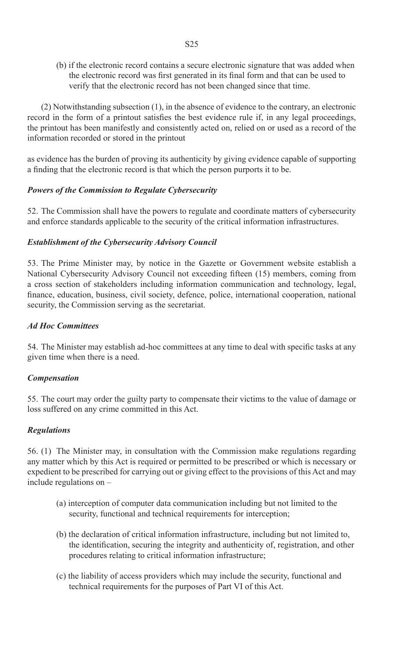(b) if the electronic record contains a secure electronic signature that was added when the electronic record was first generated in its final form and that can be used to verify that the electronic record has not been changed since that time.

(2) Notwithstanding subsection (1), in the absence of evidence to the contrary, an electronic record in the form of a printout satisfies the best evidence rule if, in any legal proceedings, the printout has been manifestly and consistently acted on, relied on or used as a record of the information recorded or stored in the printout

as evidence has the burden of proving its authenticity by giving evidence capable of supporting a finding that the electronic record is that which the person purports it to be.

#### *Powers of the Commission to Regulate Cybersecurity*

52. The Commission shall have the powers to regulate and coordinate matters of cybersecurity and enforce standards applicable to the security of the critical information infrastructures.

#### *Establishment of the Cybersecurity Advisory Council*

53. The Prime Minister may, by notice in the Gazette or Government website establish a National Cybersecurity Advisory Council not exceeding fifteen (15) members, coming from a cross section of stakeholders including information communication and technology, legal, finance, education, business, civil society, defence, police, international cooperation, national security, the Commission serving as the secretariat.

#### *Ad Hoc Committees*

54. The Minister may establish ad-hoc committees at any time to deal with specific tasks at any given time when there is a need.

#### *Compensation*

55. The court may order the guilty party to compensate their victims to the value of damage or loss suffered on any crime committed in this Act.

#### *Regulations*

56. (1) The Minister may, in consultation with the Commission make regulations regarding any matter which by this Act is required or permitted to be prescribed or which is necessary or expedient to be prescribed for carrying out or giving effect to the provisions of this Act and may include regulations on –

- (a) interception of computer data communication including but not limited to the security, functional and technical requirements for interception;
- (b) the declaration of critical information infrastructure, including but not limited to, the identification, securing the integrity and authenticity of, registration, and other procedures relating to critical information infrastructure;
- (c) the liability of access providers which may include the security, functional and technical requirements for the purposes of Part VI of this Act.